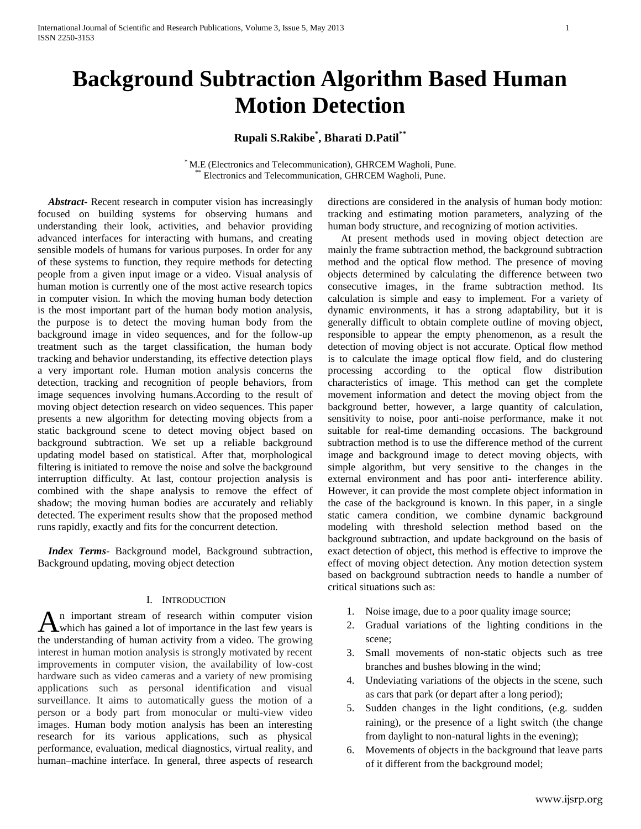# **Background Subtraction Algorithm Based Human Motion Detection**

## **Rupali S.Rakibe\* , Bharati D.Patil\*\***

\* M.E (Electronics and Telecommunication), GHRCEM Wagholi, Pune. Electronics and Telecommunication, GHRCEM Wagholi, Pune.

 *Abstract***-** Recent research in computer vision has increasingly focused on building systems for observing humans and understanding their look, activities, and behavior providing advanced interfaces for interacting with humans, and creating sensible models of humans for various purposes. In order for any of these systems to function, they require methods for detecting people from a given input image or a video. Visual analysis of human motion is currently one of the most active research topics in computer vision. In which the moving human body detection is the most important part of the human body motion analysis, the purpose is to detect the moving human body from the background image in video sequences, and for the follow-up treatment such as the target classification, the human body tracking and behavior understanding, its effective detection plays a very important role. Human motion analysis concerns the detection, tracking and recognition of people behaviors, from image sequences involving humans.According to the result of moving object detection research on video sequences. This paper presents a new algorithm for detecting moving objects from a static background scene to detect moving object based on background subtraction. We set up a reliable background updating model based on statistical. After that, morphological filtering is initiated to remove the noise and solve the background interruption difficulty. At last, contour projection analysis is combined with the shape analysis to remove the effect of shadow; the moving human bodies are accurately and reliably detected. The experiment results show that the proposed method runs rapidly, exactly and fits for the concurrent detection.

 *Index Terms*- Background model, Background subtraction, Background updating, moving object detection

## I. INTRODUCTION

n important stream of research within computer vision An important stream of research within computer vision<br>which has gained a lot of importance in the last few years is the understanding of human activity from a video. The growing interest in human motion analysis is strongly motivated by recent improvements in computer vision, the availability of low-cost hardware such as video cameras and a variety of new promising applications such as personal identification and visual surveillance. It aims to automatically guess the motion of a person or a body part from monocular or multi-view video images. Human body motion analysis has been an interesting research for its various applications, such as physical performance, evaluation, medical diagnostics, virtual reality, and human–machine interface. In general, three aspects of research

directions are considered in the analysis of human body motion: tracking and estimating motion parameters, analyzing of the human body structure, and recognizing of motion activities.

 At present methods used in moving object detection are mainly the frame subtraction method, the background subtraction method and the optical flow method. The presence of moving objects determined by calculating the difference between two consecutive images, in the frame subtraction method. Its calculation is simple and easy to implement. For a variety of dynamic environments, it has a strong adaptability, but it is generally difficult to obtain complete outline of moving object, responsible to appear the empty phenomenon, as a result the detection of moving object is not accurate. Optical flow method is to calculate the image optical flow field, and do clustering processing according to the optical flow distribution characteristics of image. This method can get the complete movement information and detect the moving object from the background better, however, a large quantity of calculation, sensitivity to noise, poor anti-noise performance, make it not suitable for real-time demanding occasions. The background subtraction method is to use the difference method of the current image and background image to detect moving objects, with simple algorithm, but very sensitive to the changes in the external environment and has poor anti- interference ability. However, it can provide the most complete object information in the case of the background is known. In this paper, in a single static camera condition, we combine dynamic background modeling with threshold selection method based on the background subtraction, and update background on the basis of exact detection of object, this method is effective to improve the effect of moving object detection. Any motion detection system based on background subtraction needs to handle a number of critical situations such as:

- 1. Noise image, due to a poor quality image source;
- 2. Gradual variations of the lighting conditions in the scene;
- 3. Small movements of non-static objects such as tree branches and bushes blowing in the wind;
- 4. Undeviating variations of the objects in the scene, such as cars that park (or depart after a long period);
- 5. Sudden changes in the light conditions, (e.g. sudden raining), or the presence of a light switch (the change from daylight to non-natural lights in the evening);
- 6. Movements of objects in the background that leave parts of it different from the background model;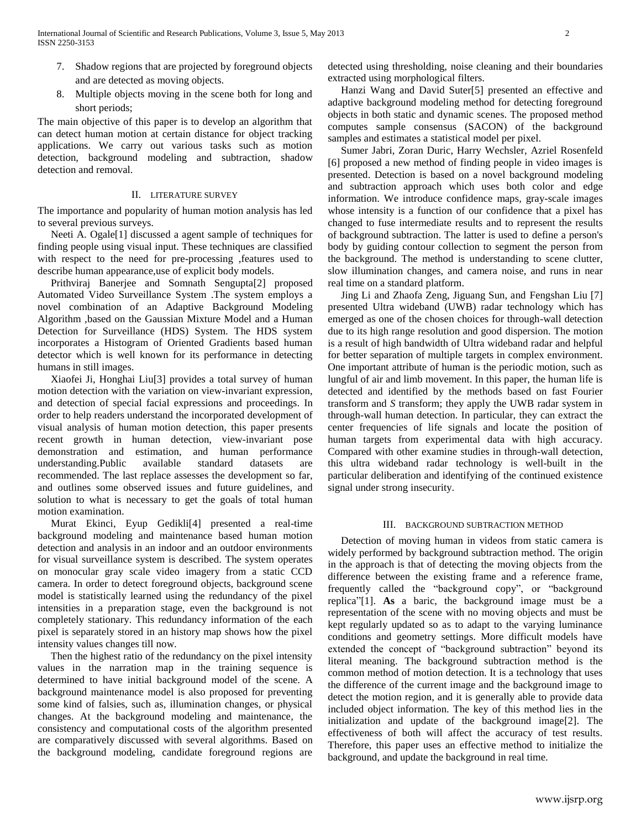- 7. Shadow regions that are projected by foreground objects and are detected as moving objects.
- 8. Multiple objects moving in the scene both for long and short periods;

The main objective of this paper is to develop an algorithm that can detect human motion at certain distance for object tracking applications. We carry out various tasks such as motion detection, background modeling and subtraction, shadow detection and removal.

#### II. LITERATURE SURVEY

The importance and popularity of human motion analysis has led to several previous surveys.

 Neeti A. Ogale[1] discussed a agent sample of techniques for finding people using visual input. These techniques are classified with respect to the need for pre-processing ,features used to describe human appearance,use of explicit body models.

 Prithviraj Banerjee and Somnath Sengupta[2] proposed Automated Video Surveillance System .The system employs a novel combination of an Adaptive Background Modeling Algorithm ,based on the Gaussian Mixture Model and a Human Detection for Surveillance (HDS) System. The HDS system incorporates a Histogram of Oriented Gradients based human detector which is well known for its performance in detecting humans in still images.

 Xiaofei Ji, Honghai Liu[3] provides a total survey of human motion detection with the variation on view-invariant expression, and detection of special facial expressions and proceedings. In order to help readers understand the incorporated development of visual analysis of human motion detection, this paper presents recent growth in human detection, view-invariant pose demonstration and estimation, and human performance understanding.Public available standard datasets are recommended. The last replace assesses the development so far, and outlines some observed issues and future guidelines, and solution to what is necessary to get the goals of total human motion examination.

 Murat Ekinci, Eyup Gedikli[4] presented a real-time background modeling and maintenance based human motion detection and analysis in an indoor and an outdoor environments for visual surveillance system is described. The system operates on monocular gray scale video imagery from a static CCD camera. In order to detect foreground objects, background scene model is statistically learned using the redundancy of the pixel intensities in a preparation stage, even the background is not completely stationary. This redundancy information of the each pixel is separately stored in an history map shows how the pixel intensity values changes till now.

 Then the highest ratio of the redundancy on the pixel intensity values in the narration map in the training sequence is determined to have initial background model of the scene. A background maintenance model is also proposed for preventing some kind of falsies, such as, illumination changes, or physical changes. At the background modeling and maintenance, the consistency and computational costs of the algorithm presented are comparatively discussed with several algorithms. Based on the background modeling, candidate foreground regions are

detected using thresholding, noise cleaning and their boundaries extracted using morphological filters.

 Hanzi Wang and David Suter[5] presented an effective and adaptive background modeling method for detecting foreground objects in both static and dynamic scenes. The proposed method computes sample consensus (SACON) of the background samples and estimates a statistical model per pixel.

 Sumer Jabri, Zoran Duric, Harry Wechsler, Azriel Rosenfeld [6] proposed a new method of finding people in video images is presented. Detection is based on a novel background modeling and subtraction approach which uses both color and edge information. We introduce confidence maps, gray-scale images whose intensity is a function of our confidence that a pixel has changed to fuse intermediate results and to represent the results of background subtraction. The latter is used to define a person's body by guiding contour collection to segment the person from the background. The method is understanding to scene clutter, slow illumination changes, and camera noise, and runs in near real time on a standard platform.

 Jing Li and Zhaofa Zeng, Jiguang Sun, and Fengshan Liu [7] presented Ultra wideband (UWB) radar technology which has emerged as one of the chosen choices for through-wall detection due to its high range resolution and good dispersion. The motion is a result of high bandwidth of Ultra wideband radar and helpful for better separation of multiple targets in complex environment. One important attribute of human is the periodic motion, such as lungful of air and limb movement. In this paper, the human life is detected and identified by the methods based on fast Fourier transform and *S* transform; they apply the UWB radar system in through-wall human detection. In particular, they can extract the center frequencies of life signals and locate the position of human targets from experimental data with high accuracy. Compared with other examine studies in through-wall detection, this ultra wideband radar technology is well-built in the particular deliberation and identifying of the continued existence signal under strong insecurity.

## III. BACKGROUND SUBTRACTION METHOD

 Detection of moving human in videos from static camera is widely performed by background subtraction method. The origin in the approach is that of detecting the moving objects from the difference between the existing frame and a reference frame, frequently called the "background copy", or "background replica"[1]. **As** a baric, the background image must be a representation of the scene with no moving objects and must be kept regularly updated so as to adapt to the varying luminance conditions and geometry settings. More difficult models have extended the concept of "background subtraction" beyond its literal meaning. The background subtraction method is the common method of motion detection. It is a technology that uses the difference of the current image and the background image to detect the motion region, and it is generally able to provide data included object information. The key of this method lies in the initialization and update of the background image[2]. The effectiveness of both will affect the accuracy of test results. Therefore, this paper uses an effective method to initialize the background, and update the background in real time.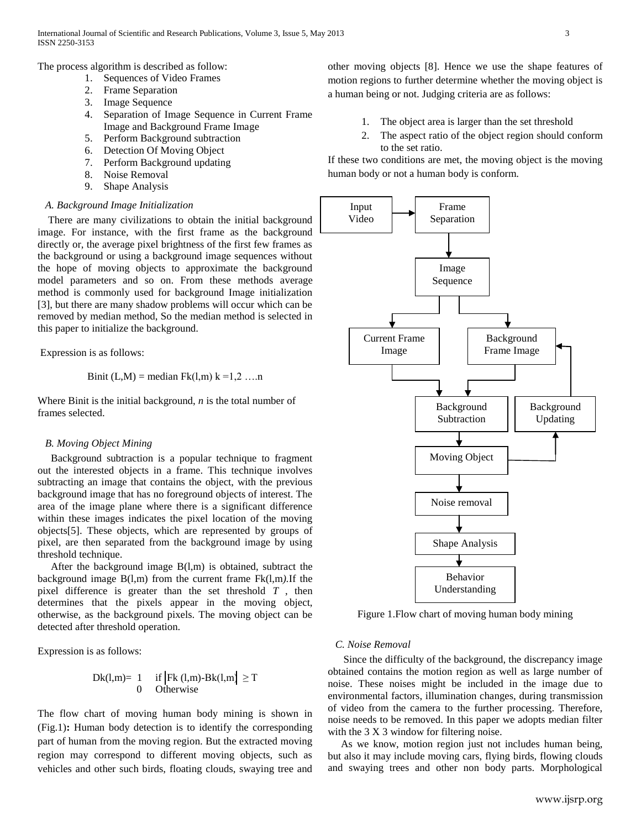The process algorithm is described as follow:

- 1. Sequences of Video Frames
- 2. Frame Separation
- 3. Image Sequence
- 4. Separation of Image Sequence in Current Frame Image and Background Frame Image
- 5. Perform Background subtraction
- 6. Detection Of Moving Object
- 7. Perform Background updating
- 8. Noise Removal
- 9. Shape Analysis

## *A. Background Image Initialization*

 There are many civilizations to obtain the initial background image. For instance, with the first frame as the background directly or, the average pixel brightness of the first few frames as the background or using a background image sequences without the hope of moving objects to approximate the background model parameters and so on. From these methods average method is commonly used for background Image initialization [3], but there are many shadow problems will occur which can be removed by median method, So the median method is selected in this paper to initialize the background.

Expression is as follows:

Binit (L,M) = median Fk(l,m) 
$$
k = 1,2,...
$$
 n

Where Binit is the initial background, *n* is the total number of frames selected.

## *B. Moving Object Mining*

 Background subtraction is a popular technique to fragment out the interested objects in a frame. This technique involves subtracting an image that contains the object, with the previous background image that has no foreground objects of interest. The area of the image plane where there is a significant difference within these images indicates the pixel location of the moving objects[5]. These objects, which are represented by groups of pixel, are then separated from the background image by using threshold technique.

 After the background image B(l,m) is obtained, subtract the background image B(l,m) from the current frame Fk(l,m*).*If the pixel difference is greater than the set threshold *T* , then determines that the pixels appear in the moving object, otherwise, as the background pixels. The moving object can be detected after threshold operation.

Expression is as follows:

$$
Dk(l,m)=\begin{cases} 1 & \text{ if }\left| Fk\left(l,m\right)\text{-}Bk(l,m\right)\geq T\\ 0 & \text{ Otherwise} \end{cases}
$$

The flow chart of moving human body mining is shown in (Fig.1)**:** Human body detection is to identify the corresponding part of human from the moving region. But the extracted moving region may correspond to different moving objects, such as vehicles and other such birds, floating clouds, swaying tree and

other moving objects [8]. Hence we use the shape features of motion regions to further determine whether the moving object is a human being or not. Judging criteria are as follows:

- 1. The object area is larger than the set threshold
- 2. The aspect ratio of the object region should conform to the set ratio.

If these two conditions are met, the moving object is the moving human body or not a human body is conform.



Figure 1.Flow chart of moving human body mining

### *C. Noise Removal*

 Since the difficulty of the background, the discrepancy image obtained contains the motion region as well as large number of noise. These noises might be included in the image due to environmental factors, illumination changes, during transmission of video from the camera to the further processing. Therefore, noise needs to be removed. In this paper we adopts median filter with the 3 X 3 window for filtering noise.

 As we know, motion region just not includes human being, but also it may include moving cars, flying birds, flowing clouds and swaying trees and other non body parts. Morphological